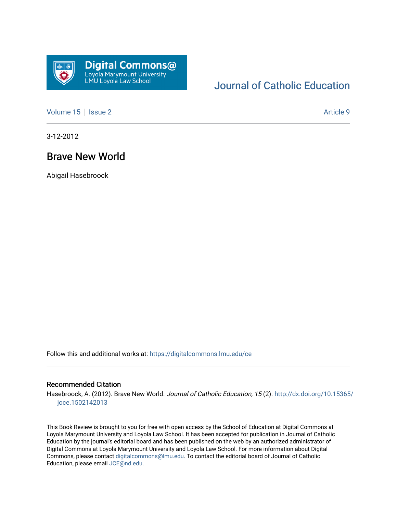

# [Journal of Catholic Education](https://digitalcommons.lmu.edu/ce)

[Volume 15](https://digitalcommons.lmu.edu/ce/vol15) | [Issue 2](https://digitalcommons.lmu.edu/ce/vol15/iss2) Article 9

3-12-2012

## Brave New World

Abigail Hasebroock

Follow this and additional works at: [https://digitalcommons.lmu.edu/ce](https://digitalcommons.lmu.edu/ce?utm_source=digitalcommons.lmu.edu%2Fce%2Fvol15%2Fiss2%2F9&utm_medium=PDF&utm_campaign=PDFCoverPages)

#### Recommended Citation

Hasebroock, A. (2012). Brave New World. Journal of Catholic Education, 15(2). [http://dx.doi.org/10.15365/](http://dx.doi.org/10.15365/joce.1502142013) [joce.1502142013](http://dx.doi.org/10.15365/joce.1502142013) 

This Book Review is brought to you for free with open access by the School of Education at Digital Commons at Loyola Marymount University and Loyola Law School. It has been accepted for publication in Journal of Catholic Education by the journal's editorial board and has been published on the web by an authorized administrator of Digital Commons at Loyola Marymount University and Loyola Law School. For more information about Digital Commons, please contact [digitalcommons@lmu.edu.](mailto:digitalcommons@lmu.edu) To contact the editorial board of Journal of Catholic Education, please email [JCE@nd.edu.](mailto:JCE@nd.edu)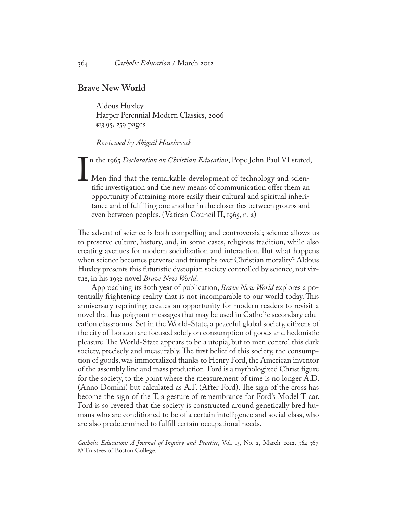### **Brave New World**

Aldous Huxley Harper Perennial Modern Classics, 2006 \$13.95, 259 pages

*Reviewed by Abigail Hasebroock*

n the 1965 *Declaration on Christian Education*, Pope John Paul VI stated,

I Men find that the remarkable development of technology and scientific investigation and the new means of communication offer them an opportunity of attaining more easily their cultural and spiritual inheritance and of fulfilling one another in the closer ties between groups and even between peoples. (Vatican Council II, 1965, n. 2)

The advent of science is both compelling and controversial; science allows us to preserve culture, history, and, in some cases, religious tradition, while also creating avenues for modern socialization and interaction. But what happens when science becomes perverse and triumphs over Christian morality? Aldous Huxley presents this futuristic dystopian society controlled by science, not virtue, in his 1932 novel *Brave New World*.

Approaching its 80th year of publication, *Brave New World* explores a potentially frightening reality that is not incomparable to our world today. This anniversary reprinting creates an opportunity for modern readers to revisit a novel that has poignant messages that may be used in Catholic secondary education classrooms. Set in the World-State, a peaceful global society, citizens of the city of London are focused solely on consumption of goods and hedonistic pleasure. The World-State appears to be a utopia, but 10 men control this dark society, precisely and measurably. The first belief of this society, the consumption of goods, was immortalized thanks to Henry Ford, the American inventor of the assembly line and mass production. Ford is a mythologized Christ figure for the society, to the point where the measurement of time is no longer A.D. (Anno Domini) but calculated as A.F. (After Ford). The sign of the cross has become the sign of the T, a gesture of remembrance for Ford's Model T car. Ford is so revered that the society is constructed around genetically bred humans who are conditioned to be of a certain intelligence and social class, who are also predetermined to fulfill certain occupational needs.

*Catholic Education: A Journal of Inquiry and Practice*, Vol. 15, No. 2, March 2012, 364-367 © Trustees of Boston College.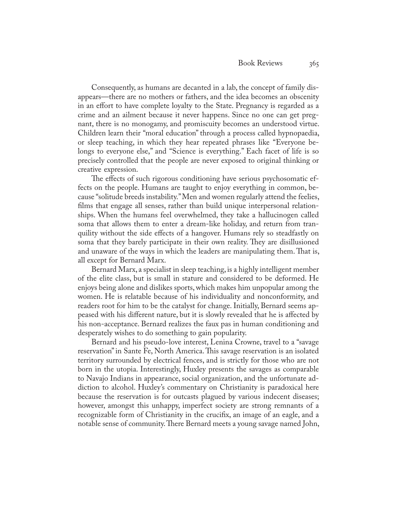Consequently, as humans are decanted in a lab, the concept of family disappears—there are no mothers or fathers, and the idea becomes an obscenity in an effort to have complete loyalty to the State. Pregnancy is regarded as a crime and an ailment because it never happens. Since no one can get pregnant, there is no monogamy, and promiscuity becomes an understood virtue. Children learn their "moral education" through a process called hypnopaedia, or sleep teaching, in which they hear repeated phrases like "Everyone belongs to everyone else," and "Science is everything." Each facet of life is so precisely controlled that the people are never exposed to original thinking or creative expression.

The effects of such rigorous conditioning have serious psychosomatic effects on the people. Humans are taught to enjoy everything in common, because "solitude breeds instability." Men and women regularly attend the feelies, films that engage all senses, rather than build unique interpersonal relationships. When the humans feel overwhelmed, they take a hallucinogen called soma that allows them to enter a dream-like holiday, and return from tranquility without the side effects of a hangover. Humans rely so steadfastly on soma that they barely participate in their own reality. They are disillusioned and unaware of the ways in which the leaders are manipulating them. That is, all except for Bernard Marx.

Bernard Marx, a specialist in sleep teaching, is a highly intelligent member of the elite class, but is small in stature and considered to be deformed. He enjoys being alone and dislikes sports, which makes him unpopular among the women. He is relatable because of his individuality and nonconformity, and readers root for him to be the catalyst for change. Initially, Bernard seems appeased with his different nature, but it is slowly revealed that he is affected by his non-acceptance. Bernard realizes the faux pas in human conditioning and desperately wishes to do something to gain popularity.

Bernard and his pseudo-love interest, Lenina Crowne, travel to a "savage reservation" in Sante Fe, North America. This savage reservation is an isolated territory surrounded by electrical fences, and is strictly for those who are not born in the utopia. Interestingly, Huxley presents the savages as comparable to Navajo Indians in appearance, social organization, and the unfortunate addiction to alcohol. Huxley's commentary on Christianity is paradoxical here because the reservation is for outcasts plagued by various indecent diseases; however, amongst this unhappy, imperfect society are strong remnants of a recognizable form of Christianity in the crucifix, an image of an eagle, and a notable sense of community. There Bernard meets a young savage named John,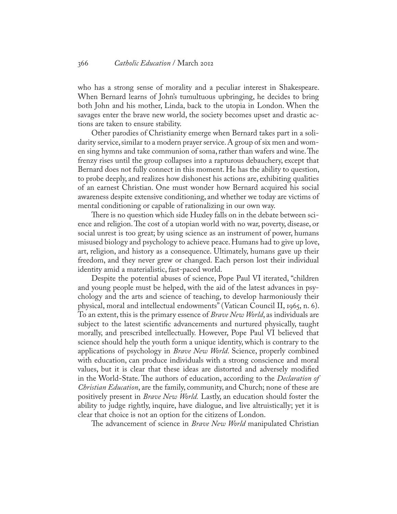who has a strong sense of morality and a peculiar interest in Shakespeare. When Bernard learns of John's tumultuous upbringing, he decides to bring both John and his mother, Linda, back to the utopia in London. When the savages enter the brave new world, the society becomes upset and drastic actions are taken to ensure stability.

Other parodies of Christianity emerge when Bernard takes part in a solidarity service, similar to a modern prayer service. A group of six men and women sing hymns and take communion of soma, rather than wafers and wine. The frenzy rises until the group collapses into a rapturous debauchery, except that Bernard does not fully connect in this moment. He has the ability to question, to probe deeply, and realizes how dishonest his actions are, exhibiting qualities of an earnest Christian. One must wonder how Bernard acquired his social awareness despite extensive conditioning, and whether we today are victims of mental conditioning or capable of rationalizing in our own way.

There is no question which side Huxley falls on in the debate between science and religion. The cost of a utopian world with no war, poverty, disease, or social unrest is too great; by using science as an instrument of power, humans misused biology and psychology to achieve peace. Humans had to give up love, art, religion, and history as a consequence. Ultimately, humans gave up their freedom, and they never grew or changed. Each person lost their individual identity amid a materialistic, fast-paced world.

Despite the potential abuses of science, Pope Paul VI iterated, "children and young people must be helped, with the aid of the latest advances in psychology and the arts and science of teaching, to develop harmoniously their physical, moral and intellectual endowments" (Vatican Council II, 1965, n. 6). To an extent, this is the primary essence of *Brave New World*, as individuals are subject to the latest scientific advancements and nurtured physically, taught morally, and prescribed intellectually. However, Pope Paul VI believed that science should help the youth form a unique identity, which is contrary to the applications of psychology in *Brave New World*. Science, properly combined with education, can produce individuals with a strong conscience and moral values, but it is clear that these ideas are distorted and adversely modified in the World-State. The authors of education, according to the *Declaration of Christian Education*, are the family, community, and Church; none of these are positively present in *Brave New World.* Lastly, an education should foster the ability to judge rightly, inquire, have dialogue, and live altruistically; yet it is clear that choice is not an option for the citizens of London.

The advancement of science in *Brave New World* manipulated Christian